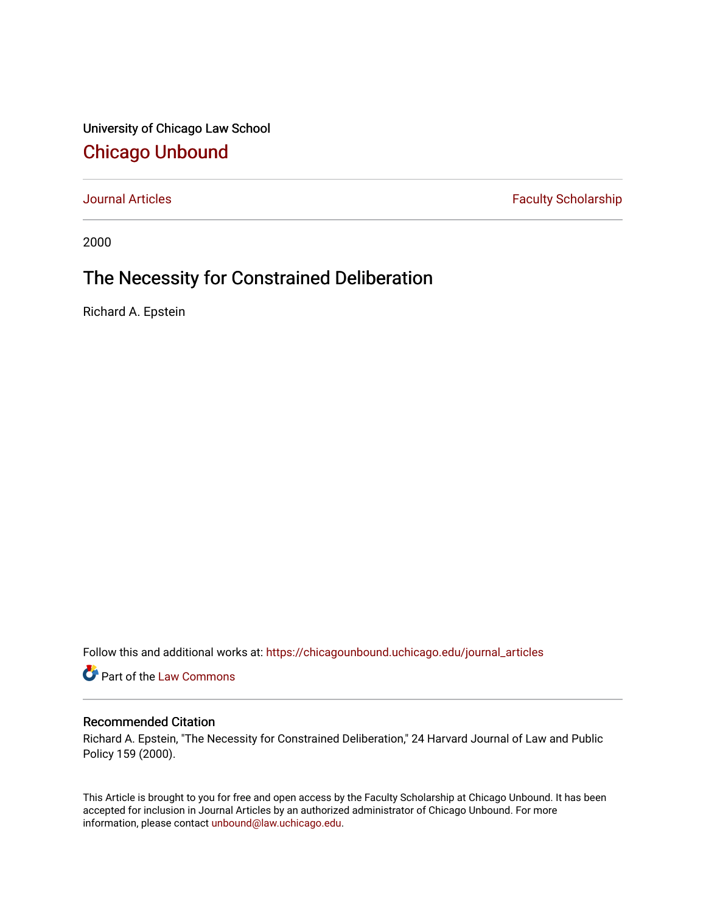University of Chicago Law School [Chicago Unbound](https://chicagounbound.uchicago.edu/)

[Journal Articles](https://chicagounbound.uchicago.edu/journal_articles) **Faculty Scholarship Journal Articles** 

2000

## The Necessity for Constrained Deliberation

Richard A. Epstein

Follow this and additional works at: [https://chicagounbound.uchicago.edu/journal\\_articles](https://chicagounbound.uchicago.edu/journal_articles?utm_source=chicagounbound.uchicago.edu%2Fjournal_articles%2F1258&utm_medium=PDF&utm_campaign=PDFCoverPages) 

Part of the [Law Commons](http://network.bepress.com/hgg/discipline/578?utm_source=chicagounbound.uchicago.edu%2Fjournal_articles%2F1258&utm_medium=PDF&utm_campaign=PDFCoverPages)

## Recommended Citation

Richard A. Epstein, "The Necessity for Constrained Deliberation," 24 Harvard Journal of Law and Public Policy 159 (2000).

This Article is brought to you for free and open access by the Faculty Scholarship at Chicago Unbound. It has been accepted for inclusion in Journal Articles by an authorized administrator of Chicago Unbound. For more information, please contact [unbound@law.uchicago.edu](mailto:unbound@law.uchicago.edu).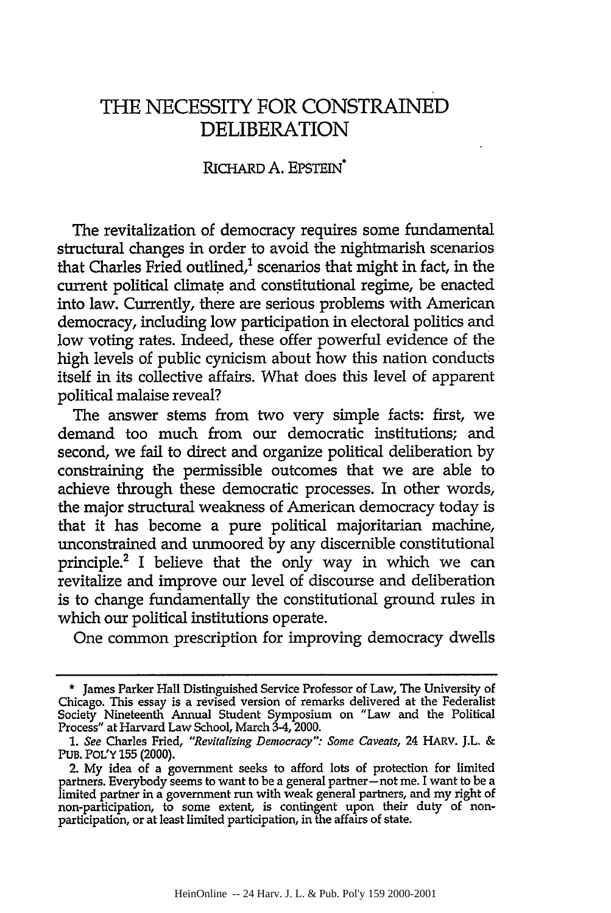## THE NECESSITY FOR **CONSTRAINED** DELIBERATION

## RICHARD A. EPSTEIN\*

The revitalization of democracy requires some fundamental structural changes in order to avoid the nightmarish scenarios that Charles Fried outlined, $<sup>1</sup>$  scenarios that might in fact, in the</sup> current political climate and constitutional regime, be enacted into law. Currently, there are serious problems with American democracy, including low participation in electoral politics and low voting rates. Indeed, these offer powerful evidence of the high levels of public cynicism about how this nation conducts itself in its collective affairs. What does this level of apparent political malaise reveal?

The answer stems from two very simple facts: first, we demand too much from our democratic institutions; and second, we fail to direct and organize political deliberation by constraining the permissible outcomes that we are able to achieve through these democratic processes. In other words, the major structural weakness of American democracy today is that it has become a pure political majoritarian machine, unconstrained and unmoored **by** any discernible constitutional principle.2 I believe that the only way in which we can revitalize and improve our level of discourse and deliberation is to change fundamentally the constitutional ground rules in which our political institutions operate.

One common prescription for improving democracy dwells

<sup>\*</sup> James Parker Hall Distinguished Service Professor of Law, The University of Chicago. This essay is a revised version of remarks delivered at the Federalist Society Nineteenth Annual Student Symposium on "Law and the Political Process" at Harvard Law School, March 3-4, 2000.

*<sup>1.</sup> See* Charles Fried, *"Revitalizing Democracy": Some Caveats,* 24 HARV. J.L. & PUB. POL'Y 155 (2000).

<sup>2.</sup> My idea of a government seeks to afford lots of protection for limited partners. Everybody seems to want to be a general partner-not me. I want to be a limited partner in a government run with weak general partners, and my right of non-participation, to some extent, is contingent upon their duty of nonparticipation, or at least limited participation, in the affairs of state.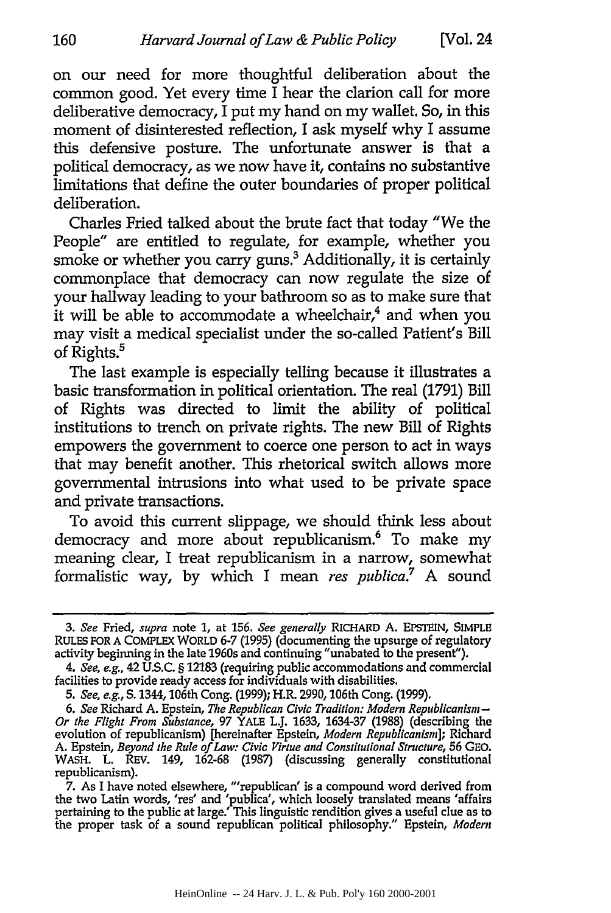on our need for more thoughtful deliberation about the common good. Yet every time I hear the clarion call for more deliberative democracy, I put my hand on my wallet. So, in this moment of disinterested reflection, I ask myself why I assume this defensive posture. The unfortunate answer is that a political democracy, as we now have it, contains no substantive limitations that define the outer boundaries of proper political deliberation.

Charles Fried talked about the brute fact that today "We the People" are entitled to regulate, for example, whether you smoke or whether you carry guns.<sup>3</sup> Additionally, it is certainly commonplace that democracy can now regulate the size of your hallway leading to your bathroom so as to make sure that it will be able to accommodate a wheelchair, $4$  and when you may visit a medical specialist under the so-called Patient's Bill of Rights.<sup>5</sup>

The last example is especially telling because it illustrates a basic transformation in political orientation. The real (1791) Bill of Rights was directed to limit the ability of political institutions to trench on private rights. The new Bill of Rights empowers the government to coerce one person to act in ways that may benefit another. This rhetorical switch allows more governmental intrusions into what used to be private space and private transactions.

To avoid this current slippage, we should think less about democracy and more about republicanism.<sup>6</sup> To make my meaning clear, I treat republicanism in a narrow, somewhat formalistic way, by which I mean *res publica*.<sup>7</sup> A sound

**<sup>3.</sup>** *See* Fried, *supra* note **1,** at 156. *See generally* RICHARD A. EPSTEIN, SIMPLE RULES FOR **A** COMPLEX WORLD **6-7** (1995) (documenting the upsurge of regulatory activity beginning in the late 1960s and continuing "unabated to the present").

*<sup>4.</sup> See, e.g.,* 42 **U.S.C.** § **12183** (requiring public accommodations and commercial facilities to provide ready access for individuals with disabilities.

*<sup>5.</sup> See, e.g.,* **S.** 1344,106th Cong. **(1999);** H.R. 2990,106th Cong. **(1999).**

*<sup>6.</sup> See* Richard **A.** Epstein, *The Republican Civic Tradition: Modern Republicanism-Or the Flight From Substance,* 97 YALE L.J. **1633,** 1634-37 (1988) (describing the evolution of republicanism) [hereinafter Epstein, *Modern Republicanism];* Richard A. Epstein, *Beyond the Rule of Law: Civic Virtue and Constitutional Structure,* 56 GEO. WASH. L. REV. 149, 162-68 (1987) (discussing generally constitutional republicanism).

<sup>7.</sup> As I have noted elsewhere, "'republican' is a compound word derived from the two Latin words, 'res' and 'publica', which loosely translated means 'affairs pertaining to the public at large.' This linguistic rendition gives a useful clue as to the proper task of a sound republican political philosophy." Epstein, *Modern*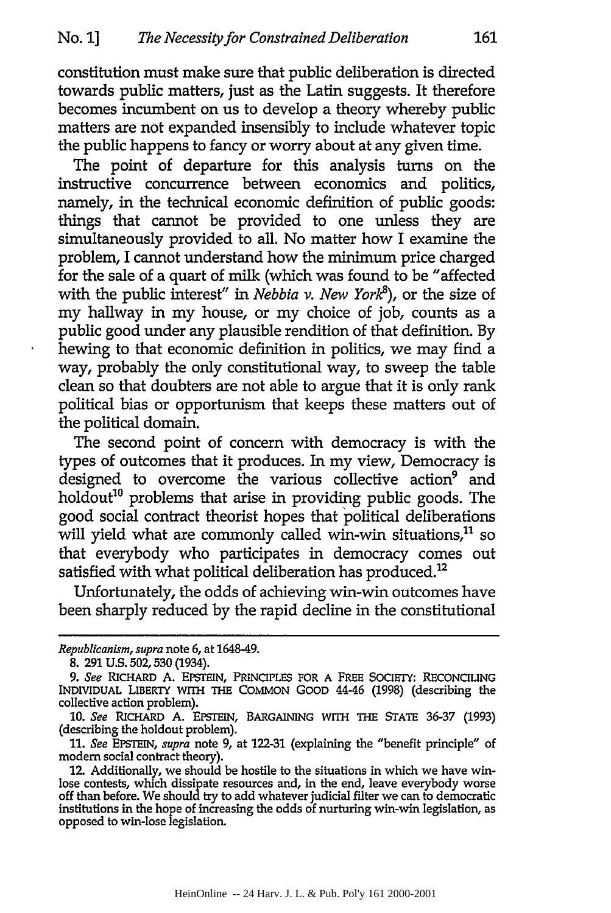constitution must make sure that public deliberation is directed towards public matters, just as the Latin suggests. It therefore becomes incumbent on us to develop a theory whereby public matters are not expanded insensibly to include whatever topic the public happens to fancy or worry about at any given time.

The point of departure for this analysis turns on the instructive concurrence between economics and politics, namely, in the technical economic definition of public goods: things that cannot be provided to one unless they are simultaneously provided to all. No matter how I examine the problem, I cannot understand how the minimum price charged for the sale of a quart of milk (which was found to be "affected with the public interest" in *Nebbia v. New York<sup>8</sup>*), or the size of my hallway in my house, or my choice of **job,** counts as a public good under any plausible rendition of that definition. **By** hewing to that economic definition in politics, we may find a way, probably the only constitutional way, to sweep the table clean so that doubters are not able to argue that it is only rank political bias or opportunism that keeps these matters out of the political domain.

The second point of concern with democracy is with the types of outcomes that it produces. In my view, Democracy is designed to overcome the various collective action<sup>9</sup> and holdout<sup>10</sup> problems that arise in providing public goods. The good social contract theorist hopes that political deliberations will yield what are commonly called win-win situations, $11$  so that everybody who participates in democracy comes out satisfied with what political deliberation has produced.<sup>12</sup>

Unfortunately, the odds of achieving win-win outcomes have been sharply reduced **by** the rapid decline in the constitutional

*Republicanism, supra* note **6,** at 1648-49.

**<sup>8. 291</sup> U.S. 502,530** (1934).

<sup>9.</sup> See RICHARD A. EPSTEIN, PRINCIPLES FOR A FREE SOCIETY: RECONCILING INDIVIDUAL LIBERTY WITH THE **COMMON GOOD** 4446 **(1998)** (describing the collective action problem).

**<sup>10.</sup>** *See* RICHARD **A.** EPSTEIN, BARGAINING WrrH THE **STATE 36-37 (1993)** (describing the holdout problem).

**<sup>11.</sup>** *See* EPSTEIN, *supra* note **9,** at **122-31** (explaining the "benefit principle" of modem social contract theory).

<sup>12.</sup> Additionally, we should be hostile to the situations in which we have winlose contests, which dissipate resources and, in the end, leave everybody worse off than before. We should try to add whatever judicial filter we can to democratic institutions in the hope of increasing the odds of nurturing win-win legislation, as opposed to win-lose legislation.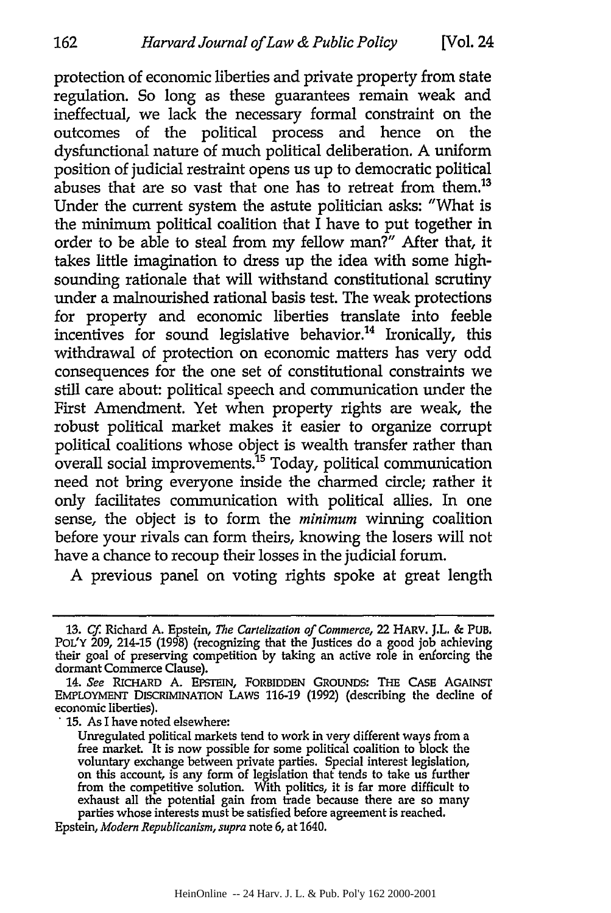protection of economic liberties and private property from state regulation. So long as these guarantees remain weak and ineffectual, we lack the necessary formal constraint on the outcomes of the political process and hence on the dysfunctional nature of much political deliberation. A uniform position of judicial restraint opens us up to democratic political abuses that are so vast that one has to retreat from them.<sup>13</sup> Under the current system the astute politician asks: "What is the minimum political coalition that  $\overline{I}$  have to put together in order to be able to steal from my fellow man?" After that, it takes little imagination to dress up the idea with some highsounding rationale that will withstand constitutional scrutiny under a malnourished rational basis test. The weak protections for property and economic liberties translate into feeble incentives for sound legislative behavior.<sup>14</sup> Ironically, this withdrawal of protection on economic matters has very odd consequences for the one set of constitutional constraints we still care about: political speech and communication under the First Amendment. Yet when property rights are weak, the robust political market makes it easier to organize corrupt political coalitions whose object is wealth transfer rather than  $\alpha$  overall social improvements.<sup>15</sup> Today, political communication need not bring everyone inside the charmed circle; rather it only facilitates communication with political allies. In one sense, the object is to form the *minimum* winning coalition before your rivals can form theirs, knowing the losers will not have a chance to recoup their losses in the judicial forum.

A previous panel on voting rights spoke at great length

**15.** As I have noted elsewhere:

162

<sup>13.</sup> *Cf.* Richard A. Epstein, *The* Cartelization of Commerce, 22 HARV. J.L. & PUB. **POL'Y 209,** 214-15 **(1998)** (recognizing that the Justices do a good **job** achieving their goal of preserving competition **by** taking an active role in enforcing the dormant Commerce Clause).

<sup>14.</sup> See **RICHARD A. EPSTEIN, FORBIDDEN** GROUNDS: THE CASE AGAINST **EMPLOYMENT** DISCRIMINATION **LAWS 116-19 (1992)** (describing the decline of economic liberties).

Unregulated political markets tend to work in very different ways from a free market. It is now possible for some political coalition to block the voluntary exchange between private parties. Special interest legislation, on this account, is any form of legislation that tends to take us further from the competitive solution. With politics, it is far more difficult to exhaust all the potential gain from trade because there are so many parties whose interests must be satisfied before agreement is reached.

Epstein, *Modern Republicanism, supra* note **6,** at 1640.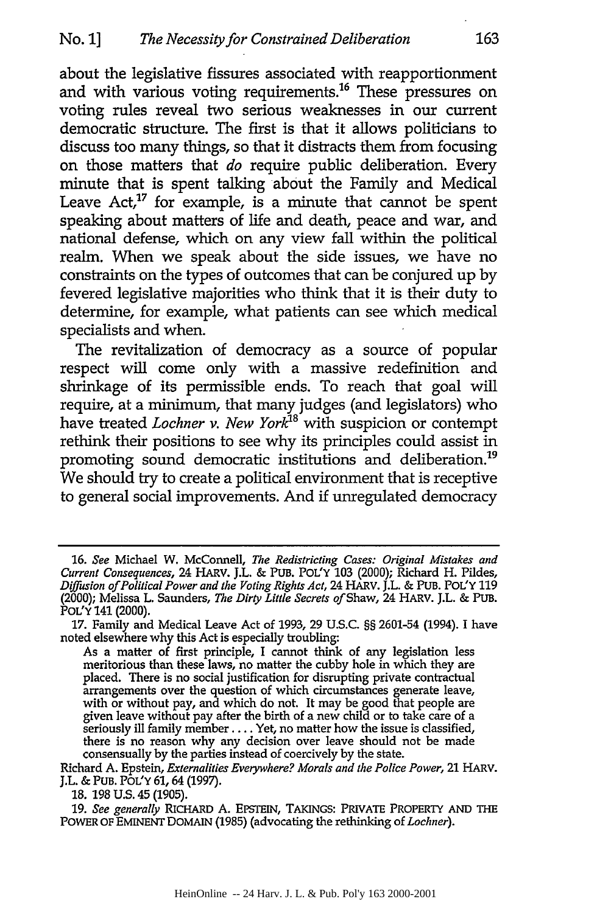about the legislative fissures associated with reapportionment and with various voting requirements.<sup>16</sup> These pressures on voting rules reveal two serious weaknesses in our current democratic structure. The first is that it allows politicians to discuss too many things, so that it distracts them from focusing on those matters that *do* require public deliberation. Every minute that is spent talking about the Family and Medical Leave  $Act<sub>1</sub><sup>17</sup>$  for example, is a minute that cannot be spent speaking about matters of life and death, peace and war, and national defense, which on any view fall within the political realm. When we speak about the side issues, we have no constraints on the types of outcomes that can be conjured up by fevered legislative majorities who think that it is their duty to determine, for example, what patients can see which medical specialists and when.

The revitalization of democracy as a source of popular respect will come only with a massive redefinition and shrinkage of its permissible ends. To reach that goal will require, at a minimum, that many judges (and legislators) who have treated *Lochner v. New York*<sup>18</sup> with suspicion or contempt rethink their positions to see why its principles could assist in promoting sound democratic institutions and deliberation.<sup>19</sup> We should try to create a political environment that is receptive to general social improvements. And **if** unregulated democracy

<sup>16.</sup> *See* Michael W. McConnell, *The Redistricting Cases: Original Mistakes and Current Consequences,* 24 HARV. J.L. & PUB. POL'Y 103 (2000); Richard H. Pildes, *Diffusion of Political Power and the Voting Rights Act,* 24 HARV. J.L. & PUB. POL'Y 119 (2000); Melissa L. Saunders, *The Dirty Little Secrets of* Shaw, 24 HARV. J.L. & PUB. POL'Y 141 (2000).

<sup>17.</sup> Family and Medical Leave Act of 1993, 29 U.S.C. §§ 2601-54 (1994). I have noted elsewhere why this Act is especially troubling:

As a matter of first principle, I cannot think of any legislation less meritorious than these laws, no matter the cubby hole in which they are placed. There is no social justification for disrupting private contractual arrangements over the question of which circumstances generate leave, with or without pay, and which do not. It may be good that people are given leave without pay after the birth of a new child or to take care of a seriously ill family member .... Yet, no matter how the issue is classified, there is no reason why any decision over leave should not be made consensually by the parties instead of coercively by the state.

Richard A. Epstein, *Externalities Everywhere? Morals and the Police Power,* 21 HARV. J.L. & PUB. POL'Y 61, 64 (1997).

<sup>18. 198</sup> U.S. 45 (1905).

<sup>19.</sup> *See generally* RICHARD A. EPSTEIN, TAKINGS: PRIVATE PROPERTY AND THE POWER OF EMINENT DOMAIN (1985) (advocating the rethinking of *Lochner).*